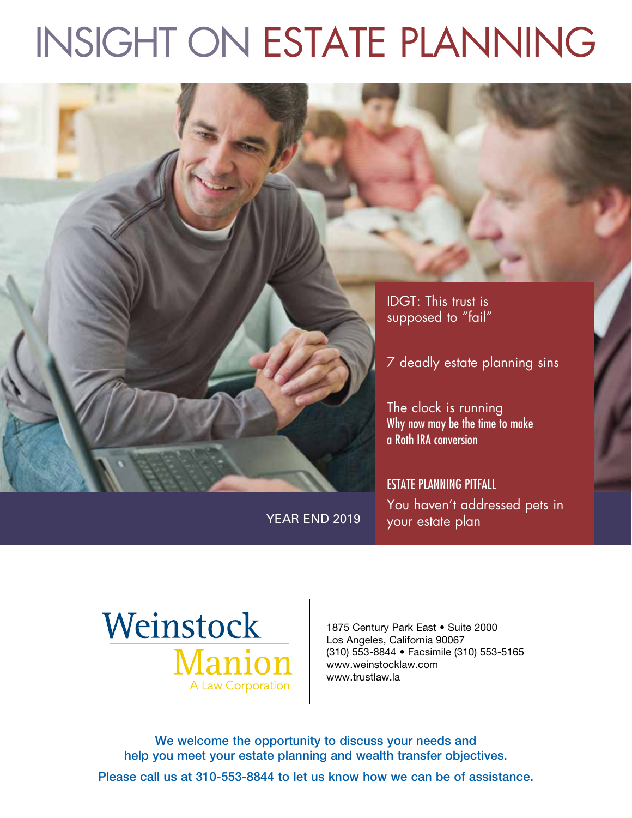# INSIGHT ON ESTATE PLANNING



You haven't addressed pets in YEAR END 2019 vour estate plan



1875 Century Park East . Suite 2000 Los Angeles, California 90067 (310) 553-8844 • Facsimile (310) 553-5165 www.weinstocklaw.com www.trustlaw.la

We welcome the opportunity to discuss your needs and help you meet your estate planning and wealth transfer objectives.

Please call us at 310-553-8844 to let us know how we can be of assistance.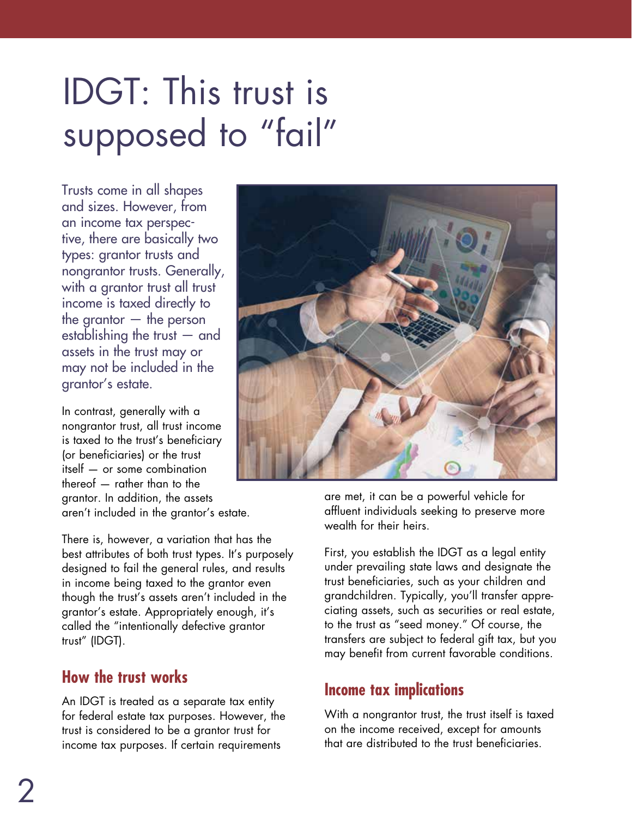# IDGT: This trust is supposed to "fail"

Trusts come in all shapes and sizes. However, from an income tax perspective, there are basically two types: grantor trusts and nongrantor trusts. Generally, with a grantor trust all trust income is taxed directly to the grantor  $-$  the person establishing the trust — and assets in the trust may or may not be included in the grantor's estate.

In contrast, generally with a nongrantor trust, all trust income is taxed to the trust's beneficiary (or beneficiaries) or the trust itself — or some combination thereof — rather than to the grantor. In addition, the assets aren't included in the grantor's estate.

There is, however, a variation that has the best attributes of both trust types. It's purposely designed to fail the general rules, and results in income being taxed to the grantor even though the trust's assets aren't included in the grantor's estate. Appropriately enough, it's called the "intentionally defective grantor trust" (IDGT).

### **How the trust works**

An IDGT is treated as a separate tax entity for federal estate tax purposes. However, the trust is considered to be a grantor trust for income tax purposes. If certain requirements



are met, it can be a powerful vehicle for affluent individuals seeking to preserve more wealth for their heirs.

First, you establish the IDGT as a legal entity under prevailing state laws and designate the trust beneficiaries, such as your children and grandchildren. Typically, you'll transfer appreciating assets, such as securities or real estate, to the trust as "seed money." Of course, the transfers are subject to federal gift tax, but you may benefit from current favorable conditions.

## **Income tax implications**

With a nongrantor trust, the trust itself is taxed on the income received, except for amounts that are distributed to the trust beneficiaries.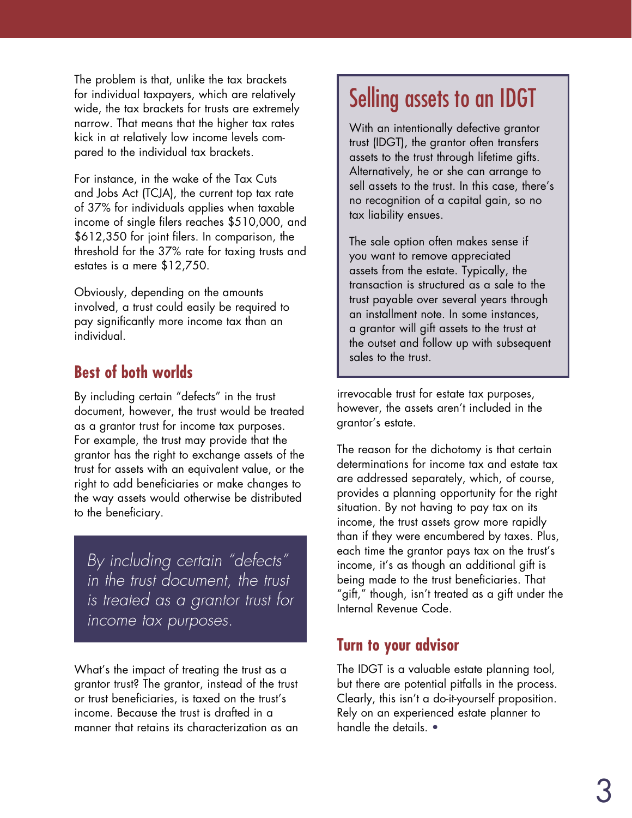The problem is that, unlike the tax brackets for individual taxpayers, which are relatively wide, the tax brackets for trusts are extremely narrow. That means that the higher tax rates kick in at relatively low income levels compared to the individual tax brackets.

For instance, in the wake of the Tax Cuts and Jobs Act (TCJA), the current top tax rate of 37% for individuals applies when taxable income of single filers reaches \$510,000, and \$612,350 for joint filers. In comparison, the threshold for the 37% rate for taxing trusts and estates is a mere \$12,750.

Obviously, depending on the amounts involved, a trust could easily be required to pay significantly more income tax than an individual.

## **Best of both worlds**

By including certain "defects" in the trust document, however, the trust would be treated as a grantor trust for income tax purposes. For example, the trust may provide that the grantor has the right to exchange assets of the trust for assets with an equivalent value, or the right to add beneficiaries or make changes to the way assets would otherwise be distributed to the beneficiary.

*By including certain "defects" in the trust document, the trust is treated as a grantor trust for income tax purposes.*

What's the impact of treating the trust as a grantor trust? The grantor, instead of the trust or trust beneficiaries, is taxed on the trust's income. Because the trust is drafted in a manner that retains its characterization as an

## Selling assets to an IDGT

With an intentionally defective grantor trust (IDGT), the grantor often transfers assets to the trust through lifetime gifts. Alternatively, he or she can arrange to sell assets to the trust. In this case, there's no recognition of a capital gain, so no tax liability ensues.

The sale option often makes sense if you want to remove appreciated assets from the estate. Typically, the transaction is structured as a sale to the trust payable over several years through an installment note. In some instances, a grantor will gift assets to the trust at the outset and follow up with subsequent sales to the trust.

irrevocable trust for estate tax purposes, however, the assets aren't included in the grantor's estate.

The reason for the dichotomy is that certain determinations for income tax and estate tax are addressed separately, which, of course, provides a planning opportunity for the right situation. By not having to pay tax on its income, the trust assets grow more rapidly than if they were encumbered by taxes. Plus, each time the grantor pays tax on the trust's income, it's as though an additional gift is being made to the trust beneficiaries. That "gift," though, isn't treated as a gift under the Internal Revenue Code.

### **Turn to your advisor**

The IDGT is a valuable estate planning tool, but there are potential pitfalls in the process. Clearly, this isn't a do-it-yourself proposition. Rely on an experienced estate planner to handle the details. •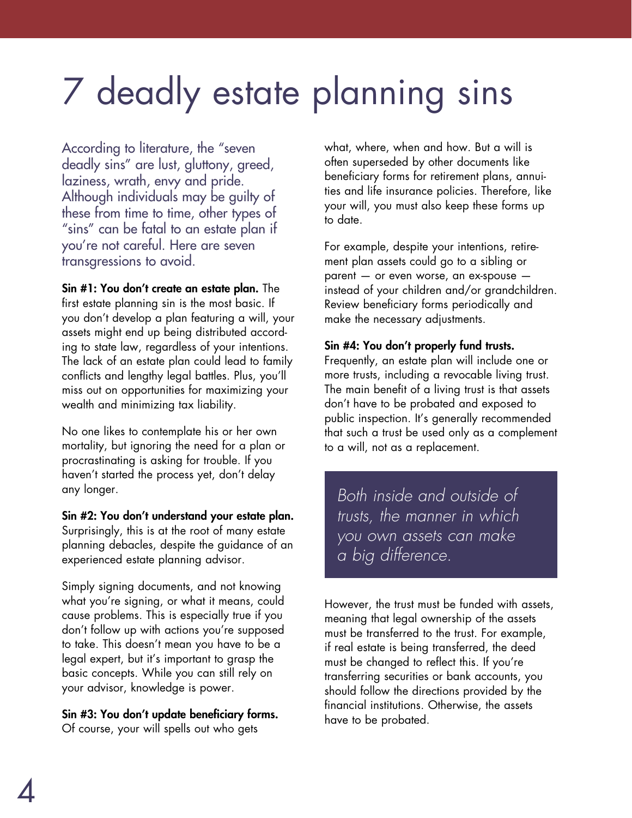# 7 deadly estate planning sins

According to literature, the "seven deadly sins" are lust, gluttony, greed, laziness, wrath, envy and pride. Although individuals may be guilty of these from time to time, other types of "sins" can be fatal to an estate plan if you're not careful. Here are seven transgressions to avoid.

Sin #1: You don't create an estate plan. The first estate planning sin is the most basic. If you don't develop a plan featuring a will, your assets might end up being distributed according to state law, regardless of your intentions. The lack of an estate plan could lead to family conflicts and lengthy legal battles. Plus, you'll miss out on opportunities for maximizing your wealth and minimizing tax liability.

No one likes to contemplate his or her own mortality, but ignoring the need for a plan or procrastinating is asking for trouble. If you haven't started the process yet, don't delay any longer.

Sin #2: You don't understand your estate plan. Surprisingly, this is at the root of many estate planning debacles, despite the guidance of an experienced estate planning advisor.

Simply signing documents, and not knowing what you're signing, or what it means, could cause problems. This is especially true if you don't follow up with actions you're supposed to take. This doesn't mean you have to be a legal expert, but it's important to grasp the basic concepts. While you can still rely on your advisor, knowledge is power.

Sin #3: You don't update beneficiary forms. Of course, your will spells out who gets

what, where, when and how. But a will is often superseded by other documents like beneficiary forms for retirement plans, annuities and life insurance policies. Therefore, like your will, you must also keep these forms up to date.

For example, despite your intentions, retirement plan assets could go to a sibling or parent — or even worse, an ex-spouse instead of your children and/or grandchildren. Review beneficiary forms periodically and make the necessary adjustments.

#### Sin #4: You don't properly fund trusts.

Frequently, an estate plan will include one or more trusts, including a revocable living trust. The main benefit of a living trust is that assets don't have to be probated and exposed to public inspection. It's generally recommended that such a trust be used only as a complement to a will, not as a replacement.

*Both inside and outside of trusts, the manner in which you own assets can make a big difference.*

However, the trust must be funded with assets, meaning that legal ownership of the assets must be transferred to the trust. For example, if real estate is being transferred, the deed must be changed to reflect this. If you're transferring securities or bank accounts, you should follow the directions provided by the financial institutions. Otherwise, the assets have to be probated.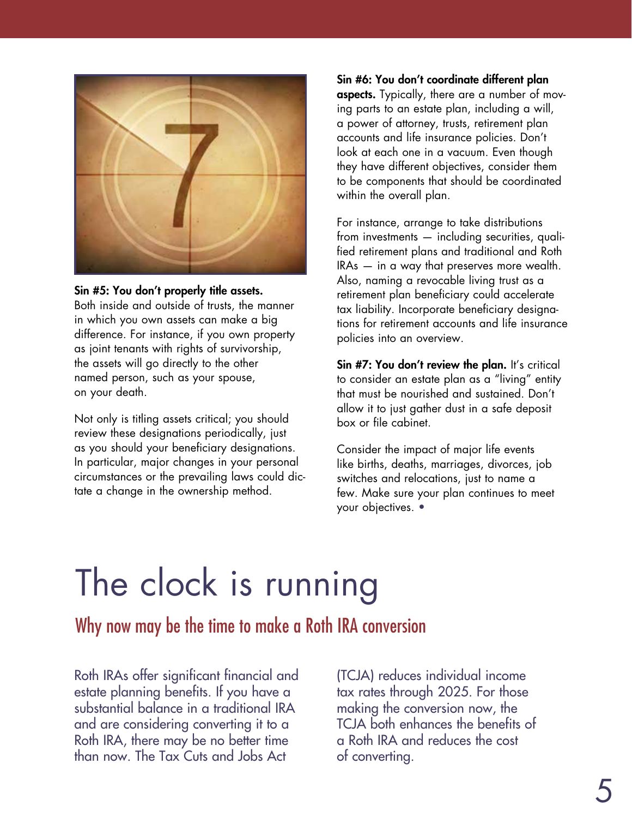

#### Sin #5: You don't properly title assets.

Both inside and outside of trusts, the manner in which you own assets can make a big difference. For instance, if you own property as joint tenants with rights of survivorship, the assets will go directly to the other named person, such as your spouse, on your death.

Not only is titling assets critical; you should review these designations periodically, just as you should your beneficiary designations. In particular, major changes in your personal circumstances or the prevailing laws could dictate a change in the ownership method.

Sin #6: You don't coordinate different plan **aspects.** Typically, there are a number of moving parts to an estate plan, including a will, a power of attorney, trusts, retirement plan accounts and life insurance policies. Don't look at each one in a vacuum. Even though they have different objectives, consider them to be components that should be coordinated within the overall plan.

For instance, arrange to take distributions from investments — including securities, qualified retirement plans and traditional and Roth IRAs — in a way that preserves more wealth. Also, naming a revocable living trust as a retirement plan beneficiary could accelerate tax liability. Incorporate beneficiary designations for retirement accounts and life insurance policies into an overview.

Sin #7: You don't review the plan. It's critical to consider an estate plan as a "living" entity that must be nourished and sustained. Don't allow it to just gather dust in a safe deposit box or file cabinet.

Consider the impact of major life events like births, deaths, marriages, divorces, job switches and relocations, just to name a few. Make sure your plan continues to meet your objectives. •

## The clock is running

Why now may be the time to make a Roth IRA conversion

Roth IRAs offer significant financial and estate planning benefits. If you have a substantial balance in a traditional IRA and are considering converting it to a Roth IRA, there may be no better time than now. The Tax Cuts and Jobs Act

(TCJA) reduces individual income tax rates through 2025. For those making the conversion now, the TCJA both enhances the benefits of a Roth IRA and reduces the cost of converting.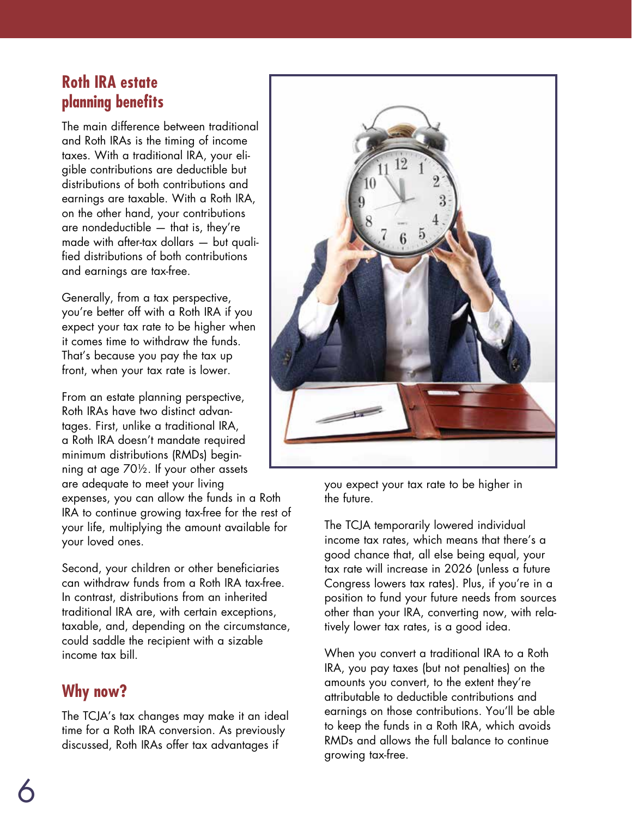### **Roth IRA estate planning benefits**

The main difference between traditional and Roth IRAs is the timing of income taxes. With a traditional IRA, your eligible contributions are deductible but distributions of both contributions and earnings are taxable. With a Roth IRA, on the other hand, your contributions are nondeductible — that is, they're made with after-tax dollars — but qualified distributions of both contributions and earnings are tax-free.

Generally, from a tax perspective, you're better off with a Roth IRA if you expect your tax rate to be higher when it comes time to withdraw the funds. That's because you pay the tax up front, when your tax rate is lower.

From an estate planning perspective, Roth IRAs have two distinct advantages. First, unlike a traditional IRA, a Roth IRA doesn't mandate required minimum distributions (RMDs) beginning at age 70½. If your other assets are adequate to meet your living expenses, you can allow the funds in a Roth IRA to continue growing tax-free for the rest of your life, multiplying the amount available for your loved ones.

Second, your children or other beneficiaries can withdraw funds from a Roth IRA tax-free. In contrast, distributions from an inherited traditional IRA are, with certain exceptions, taxable, and, depending on the circumstance, could saddle the recipient with a sizable income tax bill.

## **Why now?**

The TCJA's tax changes may make it an ideal time for a Roth IRA conversion. As previously discussed, Roth IRAs offer tax advantages if



you expect your tax rate to be higher in the future.

The TCJA temporarily lowered individual income tax rates, which means that there's a good chance that, all else being equal, your tax rate will increase in 2026 (unless a future Congress lowers tax rates). Plus, if you're in a position to fund your future needs from sources other than your IRA, converting now, with relatively lower tax rates, is a good idea.

When you convert a traditional IRA to a Roth IRA, you pay taxes (but not penalties) on the amounts you convert, to the extent they're attributable to deductible contributions and earnings on those contributions. You'll be able to keep the funds in a Roth IRA, which avoids RMDs and allows the full balance to continue growing tax-free.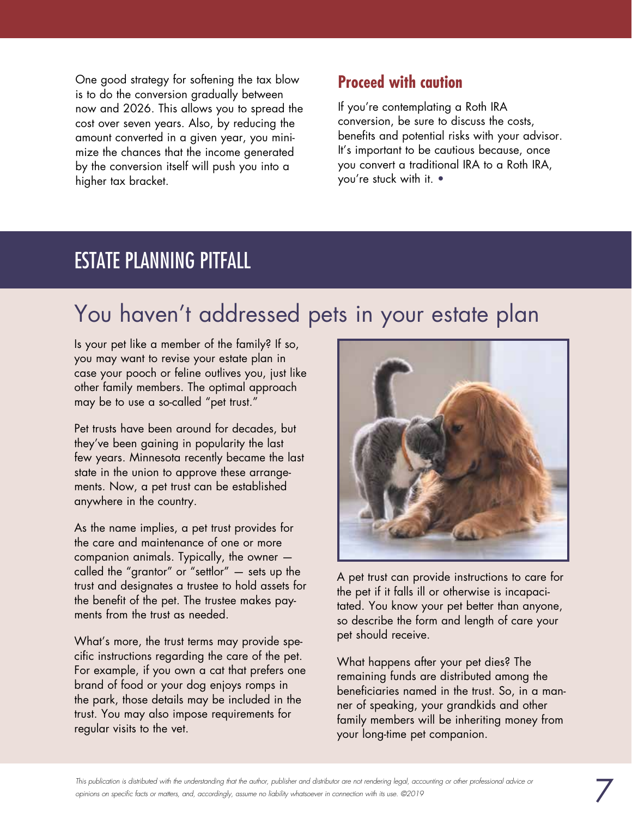One good strategy for softening the tax blow is to do the conversion gradually between now and 2026. This allows you to spread the cost over seven years. Also, by reducing the amount converted in a given year, you minimize the chances that the income generated by the conversion itself will push you into a higher tax bracket.

### **Proceed with caution**

If you're contemplating a Roth IRA conversion, be sure to discuss the costs, benefits and potential risks with your advisor. It's important to be cautious because, once you convert a traditional IRA to a Roth IRA, you're stuck with it. •

## ESTATE PLANNING PITFALL

## You haven't addressed pets in your estate plan

Is your pet like a member of the family? If so, you may want to revise your estate plan in case your pooch or feline outlives you, just like other family members. The optimal approach may be to use a so-called "pet trust."

Pet trusts have been around for decades, but they've been gaining in popularity the last few years. Minnesota recently became the last state in the union to approve these arrangements. Now, a pet trust can be established anywhere in the country.

As the name implies, a pet trust provides for the care and maintenance of one or more companion animals. Typically, the owner called the "grantor" or "settlor" — sets up the trust and designates a trustee to hold assets for the benefit of the pet. The trustee makes payments from the trust as needed.

What's more, the trust terms may provide specific instructions regarding the care of the pet. For example, if you own a cat that prefers one brand of food or your dog enjoys romps in the park, those details may be included in the trust. You may also impose requirements for regular visits to the vet.



A pet trust can provide instructions to care for the pet if it falls ill or otherwise is incapacitated. You know your pet better than anyone, so describe the form and length of care your pet should receive.

What happens after your pet dies? The remaining funds are distributed among the beneficiaries named in the trust. So, in a manner of speaking, your grandkids and other family members will be inheriting money from your long-time pet companion.